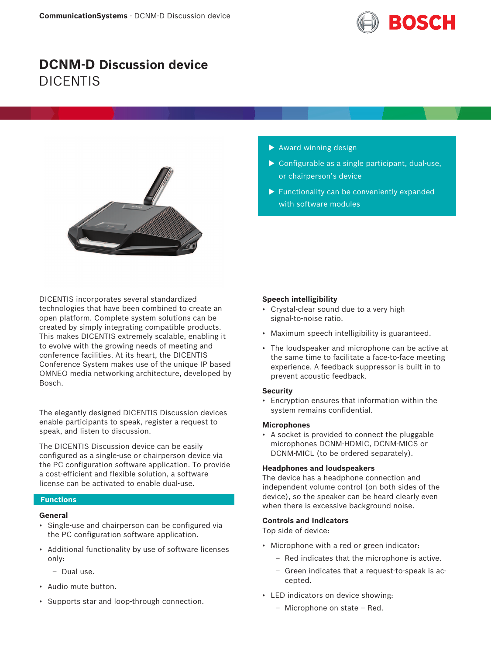

# **DCNM-D Discussion device** DICENTIS



DICENTIS incorporates several standardized technologies that have been combined to create an open platform. Complete system solutions can be created by simply integrating compatible products. This makes DICENTIS extremely scalable, enabling it to evolve with the growing needs of meeting and conference facilities. At its heart, the DICENTIS Conference System makes use of the unique IP based OMNEO media networking architecture, developed by Bosch.

The elegantly designed DICENTIS Discussion devices enable participants to speak, register a request to speak, and listen to discussion.

The DICENTIS Discussion device can be easily configured as a single-use or chairperson device via the PC configuration software application. To provide a cost-efficient and flexible solution, a software license can be activated to enable dual-use.

## **Functions**

## **General**

- Single‑use and chairperson can be configured via the PC configuration software application.
- Additional functionality by use of software licenses only:
	- Dual use.
- Audio mute button.
- Supports star and loop-through connection.
- $\blacktriangleright$  Award winning design
- $\triangleright$  Configurable as a single participant, dual-use, or chairperson's device
- $\blacktriangleright$  Functionality can be conveniently expanded with software modules

#### **Speech intelligibility**

- Crystal-clear sound due to a very high signal-to-noise ratio.
- Maximum speech intelligibility is guaranteed.
- The loudspeaker and microphone can be active at the same time to facilitate a face-to-face meeting experience. A feedback suppressor is built in to prevent acoustic feedback.

#### **Security**

• Encryption ensures that information within the system remains confidential.

#### **Microphones**

• A socket is provided to connect the pluggable microphones DCNM‑HDMIC, DCNM‑MICS or DCNM-MICL (to be ordered separately).

### **Headphones and loudspeakers**

The device has a headphone connection and independent volume control (on both sides of the device), so the speaker can be heard clearly even when there is excessive background noise.

#### **Controls and Indicators**

Top side of device:

- Microphone with a red or green indicator:
	- Red indicates that the microphone is active.
	- Green indicates that a request-to-speak is accepted.
- LED indicators on device showing:
	- Microphone on state Red.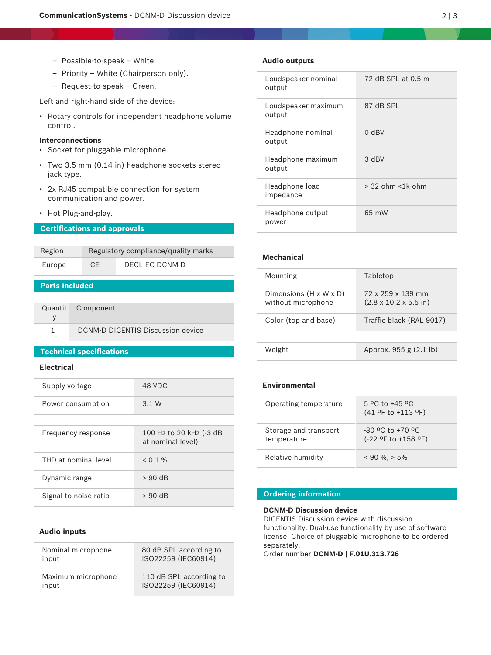- Possible‑to‑speak White.
- Priority White (Chairperson only).
- Request-to-speak Green.

Left and right-hand side of the device:

• Rotary controls for independent headphone volume control.

## **Interconnections**

- Socket for pluggable microphone.
- Two 3.5 mm (0.14 in) headphone sockets stereo jack type.
- 2x RJ45 compatible connection for system communication and power.
- Hot Plug-and-play.

## **Certifications and approvals**

| Region | Regulatory compliance/quality marks |                |
|--------|-------------------------------------|----------------|
| Europe | CF.                                 | DECL EC DCNM-D |
|        |                                     |                |

## **Parts included**

| Quantit Component                 |
|-----------------------------------|
|                                   |
| DCNM-D DICENTIS Discussion device |

### **Technical specifications**

## **Electrical**

| Supply voltage        | 48 VDC                                       |
|-----------------------|----------------------------------------------|
| Power consumption     | 3.1 W                                        |
|                       |                                              |
| Frequency response    | 100 Hz to 20 kHz (-3 dB<br>at nominal level) |
| THD at nominal level  | $< 0.1 \%$                                   |
| Dynamic range         | $> 90$ dB                                    |
| Signal-to-noise ratio | $> 90$ dB                                    |

#### **Audio inputs**

| Nominal microphone | 80 dB SPL according to  |
|--------------------|-------------------------|
| input              | ISO22259 (IEC60914)     |
| Maximum microphone | 110 dB SPL according to |
| input              | ISO22259 (IEC60914)     |

### **Audio outputs**

| Loudspeaker nominal<br>output | 72 dB SPL at 0.5 m       |
|-------------------------------|--------------------------|
| Loudspeaker maximum<br>output | 87 dB SPL                |
| Headphone nominal<br>output   | $0$ dBV                  |
| Headphone maximum<br>output   | 3 dBV                    |
| Headphone load<br>impedance   | $>$ 32 ohm $<$ 1 $k$ ohm |
| Headphone output<br>power     | 65 mW                    |

## **Mechanical**

| Mounting                                                 | Tabletop                                               |
|----------------------------------------------------------|--------------------------------------------------------|
| Dimensions $(H \times W \times D)$<br>without microphone | 72 x 259 x 139 mm<br>$(2.8 \times 10.2 \times 5.5)$ in |
| Color (top and base)                                     | Traffic black (RAL 9017)                               |
|                                                          |                                                        |
| Weight                                                   | Approx. 955 g (2.1 lb)                                 |

## **Environmental**

| Operating temperature                | 5 °C to +45 °C<br>$(41$ of to +113 of)      |
|--------------------------------------|---------------------------------------------|
| Storage and transport<br>temperature | $-30$ °C to $+70$ °C<br>(-22 °F to +158 °F) |
| Relative humidity                    | $< 90 \%$ , $> 5\%$                         |

## **Ordering information**

## **DCNM-D Discussion device**

DICENTIS Discussion device with discussion functionality. Dual-use functionality by use of software license. Choice of pluggable microphone to be ordered separately.

Order number **DCNM-D | F.01U.313.726**